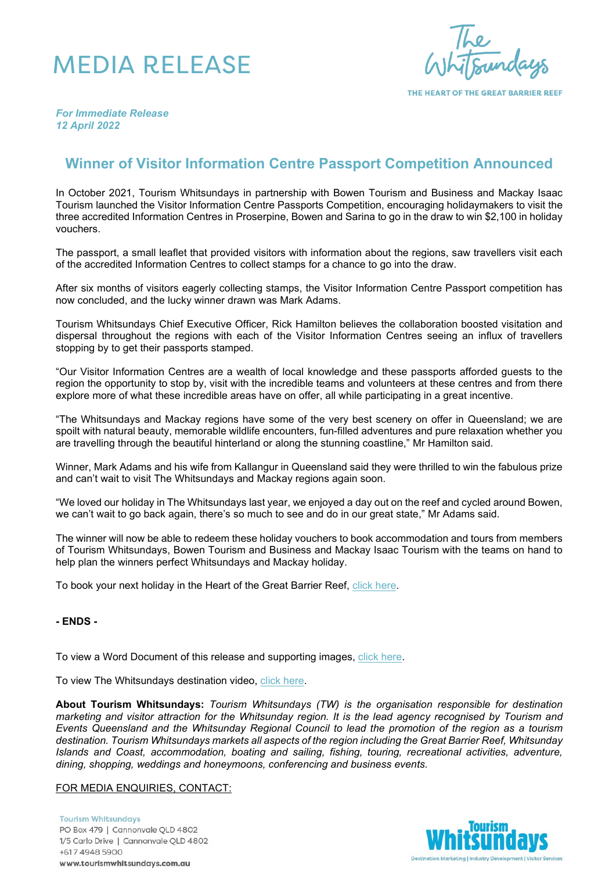## MEDIA RELEASE

THE HEART OF THE GREAT BARRIER REEF

*For Immediate Release 12 April 2022*

## **Winner of Visitor Information Centre Passport Competition Announced**

In October 2021, Tourism Whitsundays in partnership with Bowen Tourism and Business and Mackay Isaac Tourism launched the Visitor Information Centre Passports Competition, encouraging holidaymakers to visit the three accredited Information Centres in Proserpine, Bowen and Sarina to go in the draw to win \$2,100 in holiday vouchers.

The passport, a small leaflet that provided visitors with information about the regions, saw travellers visit each of the accredited Information Centres to collect stamps for a chance to go into the draw.

After six months of visitors eagerly collecting stamps, the Visitor Information Centre Passport competition has now concluded, and the lucky winner drawn was Mark Adams.

Tourism Whitsundays Chief Executive Officer, Rick Hamilton believes the collaboration boosted visitation and dispersal throughout the regions with each of the Visitor Information Centres seeing an influx of travellers stopping by to get their passports stamped.

"Our Visitor Information Centres are a wealth of local knowledge and these passports afforded guests to the region the opportunity to stop by, visit with the incredible teams and volunteers at these centres and from there explore more of what these incredible areas have on offer, all while participating in a great incentive.

"The Whitsundays and Mackay regions have some of the very best scenery on offer in Queensland; we are spoilt with natural beauty, memorable wildlife encounters, fun-filled adventures and pure relaxation whether you are travelling through the beautiful hinterland or along the stunning coastline," Mr Hamilton said.

Winner, Mark Adams and his wife from Kallangur in Queensland said they were thrilled to win the fabulous prize and can't wait to visit The Whitsundays and Mackay regions again soon.

"We loved our holiday in The Whitsundays last year, we enjoyed a day out on the reef and cycled around Bowen, we can't wait to go back again, there's so much to see and do in our great state," Mr Adams said.

The winner will now be able to redeem these holiday vouchers to book accommodation and tours from members of Tourism Whitsundays, Bowen Tourism and Business and Mackay Isaac Tourism with the teams on hand to help plan the winners perfect Whitsundays and Mackay holiday.

To book your next holiday in the Heart of the Great Barrier Reef, [click here.](https://www.tourismwhitsundays.com.au/deals/)

**- ENDS -**

To view a Word Document of this release and supporting images, [click here.](https://www.dropbox.com/sh/g7h8u7h5fzaet48/AABg7B1d4reUhh9MMZq4_PbKa?dl=0)

To view The Whitsundays destination video, [click here.](https://www.youtube.com/watch?v=R3JYNCduZko)

**About Tourism Whitsundays:** *Tourism Whitsundays (TW) is the organisation responsible for destination marketing and visitor attraction for the Whitsunday region. It is the lead agency recognised by Tourism and Events Queensland and the Whitsunday Regional Council to lead the promotion of the region as a tourism destination. Tourism Whitsundays markets all aspects of the region including the Great Barrier Reef, Whitsunday Islands and Coast, accommodation, boating and sailing, fishing, touring, recreational activities, adventure, dining, shopping, weddings and honeymoons, conferencing and business events.*

## FOR MEDIA ENQUIRIES, CONTACT:

**Tourism Whitsundays** PO Box 479 | Cannonvale QLD 4802 1/5 Carlo Drive | Cannonvale QLD 4802 +61749485900 www.tourismwhitsundays.com.au